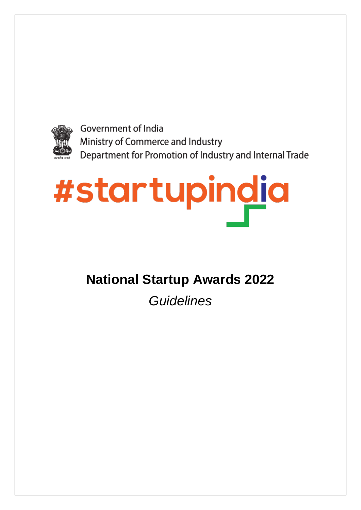

**Government of India** Ministry of Commerce and Industry Department for Promotion of Industry and Internal Trade

# #startupindia

# **National Startup Awards 2022**

*Guidelines*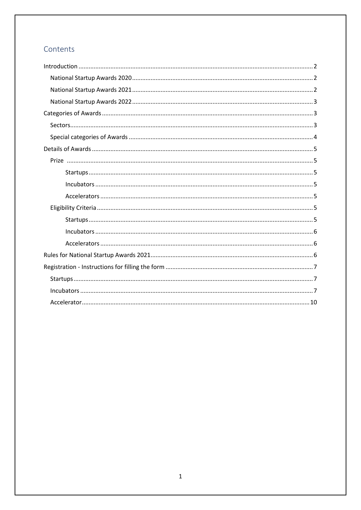# Contents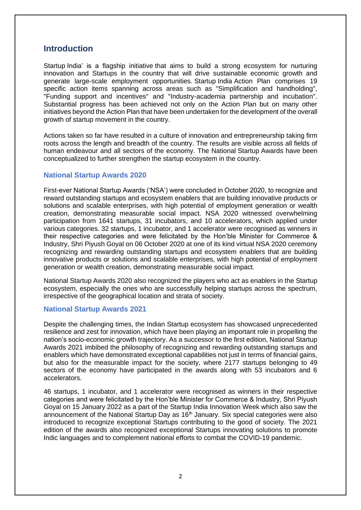# <span id="page-2-0"></span>**Introduction**

Startup India' is a flagship initiative that aims to build a strong ecosystem for nurturing innovation and Startups in the country that will drive sustainable economic growth and generate large-scale employment opportunities. Startup India Action Plan comprises 19 specific action items spanning across areas such as "Simplification and handholding", "Funding support and incentives" and "Industry-academia partnership and incubation". Substantial progress has been achieved not only on the Action Plan but on many other initiatives beyond the Action Plan that have been undertaken for the development of the overall growth of startup movement in the country.

Actions taken so far have resulted in a culture of innovation and entrepreneurship taking firm roots across the length and breadth of the country. The results are visible across all fields of human endeavour and all sectors of the economy. The National Startup Awards have been conceptualized to further strengthen the startup ecosystem in the country.

# <span id="page-2-1"></span>**National Startup Awards 2020**

First-ever National Startup Awards ('NSA') were concluded in October 2020, to recognize and reward outstanding startups and ecosystem enablers that are building innovative products or solutions and scalable enterprises, with high potential of employment generation or wealth creation, demonstrating measurable social impact. NSA 2020 witnessed overwhelming participation from 1641 startups, 31 incubators, and 10 accelerators, which applied under various categories. 32 startups, 1 incubator, and 1 accelerator were recognised as winners in their respective categories and were felicitated by the Hon'ble Minister for Commerce & Industry, Shri Piyush Goyal on 06 October 2020 at one of its kind virtual NSA 2020 ceremony recognizing and rewarding outstanding startups and ecosystem enablers that are building innovative products or solutions and scalable enterprises, with high potential of employment generation or wealth creation, demonstrating measurable social impact.

National Startup Awards 2020 also recognized the players who act as enablers in the Startup ecosystem, especially the ones who are successfully helping startups across the spectrum, irrespective of the geographical location and strata of society.

# <span id="page-2-2"></span>**National Startup Awards 2021**

Despite the challenging times, the Indian Startup ecosystem has showcased unprecedented resilience and zest for innovation, which have been playing an important role in propelling the nation's socio-economic growth trajectory. As a successor to the first edition, National Startup Awards 2021 imbibed the philosophy of recognizing and rewarding outstanding startups and enablers which have demonstrated exceptional capabilities not just in terms of financial gains, but also for the measurable impact for the society, where 2177 startups belonging to 49 sectors of the economy have participated in the awards along with 53 incubators and 6 accelerators.

46 startups, 1 incubator, and 1 accelerator were recognised as winners in their respective categories and were felicitated by the Hon'ble Minister for Commerce & Industry, Shri Piyush Goyal on 15 January 2022 as a part of the Startup India Innovation Week which also saw the announcement of the National Startup Day as 16<sup>th</sup> January. Six special categories were also introduced to recognize exceptional Startups contributing to the good of society. The 2021 edition of the awards also recognized exceptional Startups innovating solutions to promote Indic languages and to complement national efforts to combat the COVID-19 pandemic.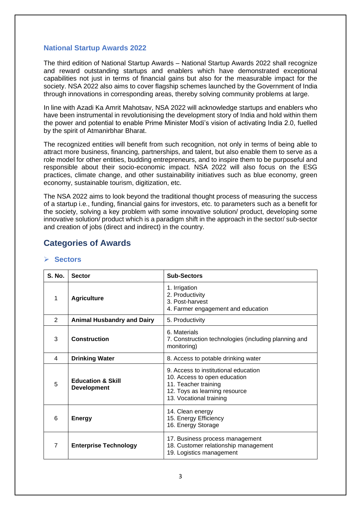# <span id="page-3-0"></span>**National Startup Awards 2022**

The third edition of National Startup Awards – National Startup Awards 2022 shall recognize and reward outstanding startups and enablers which have demonstrated exceptional capabilities not just in terms of financial gains but also for the measurable impact for the society. NSA 2022 also aims to cover flagship schemes launched by the Government of India through innovations in corresponding areas, thereby solving community problems at large.

In line with Azadi Ka Amrit Mahotsav, NSA 2022 will acknowledge startups and enablers who have been instrumental in revolutionising the development story of India and hold within them the power and potential to enable Prime Minister Modi's vision of activating India 2.0, fuelled by the spirit of Atmanirbhar Bharat.

The recognized entities will benefit from such recognition, not only in terms of being able to attract more business, financing, partnerships, and talent, but also enable them to serve as a role model for other entities, budding entrepreneurs, and to inspire them to be purposeful and responsible about their socio-economic impact. NSA 2022 will also focus on the ESG practices, climate change, and other sustainability initiatives such as blue economy, green economy, sustainable tourism, digitization, etc.

The NSA 2022 aims to look beyond the traditional thought process of measuring the success of a startup i.e., funding, financial gains for investors, etc. to parameters such as a benefit for the society, solving a key problem with some innovative solution/ product, developing some innovative solution/ product which is a paradigm shift in the approach in the sector/ sub-sector and creation of jobs (direct and indirect) in the country.

# <span id="page-3-1"></span>**Categories of Awards**

| <b>S. No.</b>  | <b>Sector</b>                                      | <b>Sub-Sectors</b>                                                                                                                                       |
|----------------|----------------------------------------------------|----------------------------------------------------------------------------------------------------------------------------------------------------------|
| 1              | <b>Agriculture</b>                                 | 1. Irrigation<br>2. Productivity<br>3. Post-harvest<br>4. Farmer engagement and education                                                                |
| $\overline{2}$ | <b>Animal Husbandry and Dairy</b>                  | 5. Productivity                                                                                                                                          |
| 3              | Construction                                       | 6. Materials<br>7. Construction technologies (including planning and<br>monitoring)                                                                      |
| 4              | <b>Drinking Water</b>                              | 8. Access to potable drinking water                                                                                                                      |
| 5              | <b>Education &amp; Skill</b><br><b>Development</b> | 9. Access to institutional education<br>10. Access to open education<br>11. Teacher training<br>12. Toys as learning resource<br>13. Vocational training |
| 6              | <b>Energy</b>                                      | 14. Clean energy<br>15. Energy Efficiency<br>16. Energy Storage                                                                                          |
| $\overline{7}$ | <b>Enterprise Technology</b>                       | 17. Business process management<br>18. Customer relationship management<br>19. Logistics management                                                      |

# <span id="page-3-2"></span>➢ **Sectors**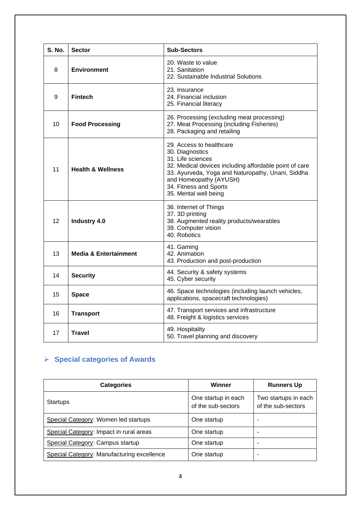| S. No. | <b>Sector</b>                    | <b>Sub-Sectors</b>                                                                                                                                                                                                                                           |  |
|--------|----------------------------------|--------------------------------------------------------------------------------------------------------------------------------------------------------------------------------------------------------------------------------------------------------------|--|
| 8      | <b>Environment</b>               | 20. Waste to value<br>21. Sanitation<br>22. Sustainable Industrial Solutions                                                                                                                                                                                 |  |
| 9      | <b>Fintech</b>                   | 23. Insurance<br>24. Financial inclusion<br>25. Financial literacy                                                                                                                                                                                           |  |
| 10     | <b>Food Processing</b>           | 26. Processing (excluding meat processing)<br>27. Meat Processing (including Fisheries)<br>28. Packaging and retailing                                                                                                                                       |  |
| 11     | <b>Health &amp; Wellness</b>     | 29. Access to healthcare<br>30. Diagnostics<br>31. Life sciences<br>32. Medical devices including affordable point of care<br>33. Ayurveda, Yoga and Naturopathy, Unani, Siddha<br>and Homeopathy (AYUSH)<br>34. Fitness and Sports<br>35. Mental well being |  |
| 12     | <b>Industry 4.0</b>              | 36. Internet of Things<br>37. 3D printing<br>38. Augmented reality products/wearables<br>39. Computer vision<br>40. Robotics                                                                                                                                 |  |
| 13     | <b>Media &amp; Entertainment</b> | 41. Gaming<br>42. Animation<br>43. Production and post-production                                                                                                                                                                                            |  |
| 14     | <b>Security</b>                  | 44. Security & safety systems<br>45. Cyber security                                                                                                                                                                                                          |  |
| 15     | <b>Space</b>                     | 46. Space technologies (including launch vehicles,<br>applications, spacecraft technologies)                                                                                                                                                                 |  |
| 16     | <b>Transport</b>                 | 47. Transport services and infrastructure<br>48. Freight & logistics services                                                                                                                                                                                |  |
| 17     | <b>Travel</b>                    | 49. Hospitality<br>50. Travel planning and discovery                                                                                                                                                                                                         |  |

# <span id="page-4-0"></span>➢ **Special categories of Awards**

| <b>Categories</b>                          | Winner                                    | <b>Runners Up</b>                          |
|--------------------------------------------|-------------------------------------------|--------------------------------------------|
| <b>Startups</b>                            | One startup in each<br>of the sub-sectors | Two startups in each<br>of the sub-sectors |
| Special Category: Women led startups       | One startup                               | -                                          |
| Special Category: Impact in rural areas    | One startup                               |                                            |
| Special Category: Campus startup           | One startup                               |                                            |
| Special Category: Manufacturing excellence | One startup                               |                                            |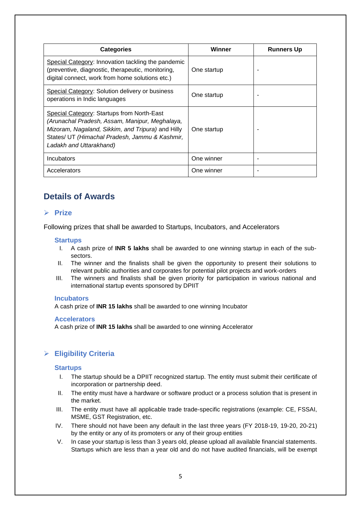| <b>Categories</b>                                                                                                                                                                                                              | Winner      | <b>Runners Up</b> |
|--------------------------------------------------------------------------------------------------------------------------------------------------------------------------------------------------------------------------------|-------------|-------------------|
| Special Category: Innovation tackling the pandemic<br>(preventive, diagnostic, therapeutic, monitoring,<br>digital connect, work from home solutions etc.)                                                                     | One startup |                   |
| Special Category: Solution delivery or business<br>operations in Indic languages                                                                                                                                               | One startup |                   |
| Special Category: Startups from North-East<br>(Arunachal Pradesh, Assam, Manipur, Meghalaya,<br>Mizoram, Nagaland, Sikkim, and Tripura) and Hilly<br>States/ UT (Himachal Pradesh, Jammu & Kashmir,<br>Ladakh and Uttarakhand) | One startup |                   |
| Incubators                                                                                                                                                                                                                     | One winner  |                   |
| Accelerators                                                                                                                                                                                                                   | One winner  |                   |

# <span id="page-5-0"></span>**Details of Awards**

# <span id="page-5-1"></span>➢ **Prize**

Following prizes that shall be awarded to Startups, Incubators, and Accelerators

# <span id="page-5-2"></span>**Startups**

- I. A cash prize of **INR 5 lakhs** shall be awarded to one winning startup in each of the subsectors.
- II. The winner and the finalists shall be given the opportunity to present their solutions to relevant public authorities and corporates for potential pilot projects and work-orders
- III. The winners and finalists shall be given priority for participation in various national and international startup events sponsored by DPIIT

#### <span id="page-5-3"></span>**Incubators**

A cash prize of **INR 15 lakhs** shall be awarded to one winning Incubator

#### <span id="page-5-4"></span>**Accelerators**

A cash prize of **INR 15 lakhs** shall be awarded to one winning Accelerator

# <span id="page-5-5"></span>➢ **Eligibility Criteria**

#### <span id="page-5-6"></span>**Startups**

- I. The startup should be a DPIIT recognized startup. The entity must submit their certificate of incorporation or partnership deed.
- II. The entity must have a hardware or software product or a process solution that is present in the market.
- III. The entity must have all applicable trade trade-specific registrations (example: CE, FSSAI, MSME, GST Registration, etc.
- IV. There should not have been any default in the last three years (FY 2018-19, 19-20, 20-21) by the entity or any of its promoters or any of their group entities
- V. In case your startup is less than 3 years old, please upload all available financial statements. Startups which are less than a year old and do not have audited financials, will be exempt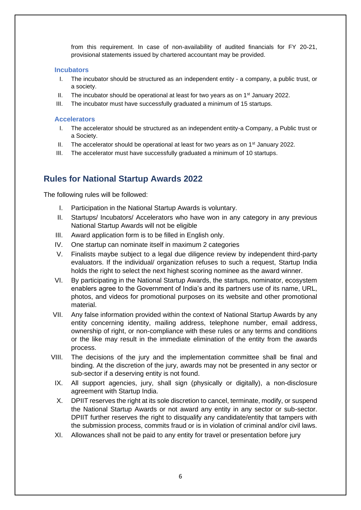from this requirement. In case of non-availability of audited financials for FY 20-21, provisional statements issued by chartered accountant may be provided.

# <span id="page-6-0"></span>**Incubators**

- I. The incubator should be structured as an independent entity a company, a public trust, or a society.
- II. The incubator should be operational at least for two years as on  $1<sup>st</sup>$  January 2022.
- III. The incubator must have successfully graduated a minimum of 15 startups.

# <span id="page-6-1"></span>**Accelerators**

- I. The accelerator should be structured as an independent entity-a Company, a Public trust or a Society.
- II. The accelerator should be operational at least for two years as on  $1<sup>st</sup>$  January 2022.
- III. The accelerator must have successfully graduated a minimum of 10 startups.

# <span id="page-6-2"></span>**Rules for National Startup Awards 2022**

The following rules will be followed:

- I. Participation in the National Startup Awards is voluntary.
- II. Startups/ Incubators/ Accelerators who have won in any category in any previous National Startup Awards will not be eligible
- III. Award application form is to be filled in English only.
- IV. One startup can nominate itself in maximum 2 categories
- V. Finalists maybe subject to a legal due diligence review by independent third-party evaluators. If the individual/ organization refuses to such a request, Startup India holds the right to select the next highest scoring nominee as the award winner.
- VI. By participating in the National Startup Awards, the startups, nominator, ecosystem enablers agree to the Government of India's and its partners use of its name, URL, photos, and videos for promotional purposes on its website and other promotional material.
- VII. Any false information provided within the context of National Startup Awards by any entity concerning identity, mailing address, telephone number, email address, ownership of right, or non-compliance with these rules or any terms and conditions or the like may result in the immediate elimination of the entity from the awards process.
- VIII. The decisions of the jury and the implementation committee shall be final and binding. At the discretion of the jury, awards may not be presented in any sector or sub-sector if a deserving entity is not found.
- IX. All support agencies, jury, shall sign (physically or digitally), a non-disclosure agreement with Startup India.
- X. DPIIT reserves the right at its sole discretion to cancel, terminate, modify, or suspend the National Startup Awards or not award any entity in any sector or sub-sector. DPIIT further reserves the right to disqualify any candidate/entity that tampers with the submission process, commits fraud or is in violation of criminal and/or civil laws.
- XI. Allowances shall not be paid to any entity for travel or presentation before jury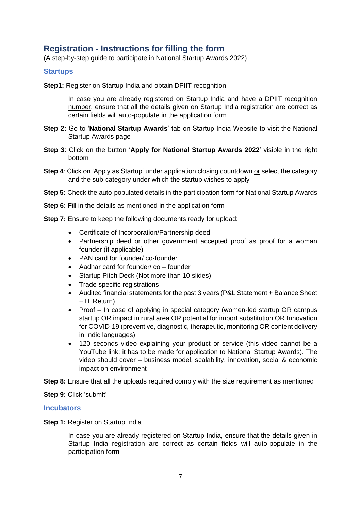# <span id="page-7-0"></span>**Registration - Instructions for filling the form**

(A step-by-step guide to participate in National Startup Awards 2022)

# <span id="page-7-1"></span>**Startups**

**Step1:** Register on Startup India and obtain DPIIT recognition

In case you are already registered on Startup India and have a DPIIT recognition number, ensure that all the details given on Startup India registration are correct as certain fields will auto-populate in the application form

- **Step 2:** Go to '**National Startup Awards**' tab on Startup India Website to visit the National Startup Awards page
- **Step 3**: Click on the button '**Apply for National Startup Awards 2022**' visible in the right bottom
- **Step 4**: Click on 'Apply as Startup' under application closing countdown or select the category and the sub-category under which the startup wishes to apply

**Step 5:** Check the auto-populated details in the participation form for National Startup Awards

**Step 6:** Fill in the details as mentioned in the application form

**Step 7:** Ensure to keep the following documents ready for upload:

- Certificate of Incorporation/Partnership deed
- Partnership deed or other government accepted proof as proof for a woman founder (if applicable)
- PAN card for founder/ co-founder
- Aadhar card for founder/ co founder
- Startup Pitch Deck (Not more than 10 slides)
- Trade specific registrations
- Audited financial statements for the past 3 years (P&L Statement + Balance Sheet + IT Return)
- Proof In case of applying in special category (women-led startup OR campus startup OR impact in rural area OR potential for import substitution OR Innovation for COVID-19 (preventive, diagnostic, therapeutic, monitoring OR content delivery in Indic languages)
- 120 seconds video explaining your product or service (this video cannot be a YouTube link; it has to be made for application to National Startup Awards). The video should cover – business model, scalability, innovation, social & economic impact on environment

**Step 8:** Ensure that all the uploads required comply with the size requirement as mentioned

**Step 9:** Click 'submit'

# **Incubators**

**Step 1: Register on Startup India** 

<span id="page-7-2"></span>In case you are already registered on Startup India, ensure that the details given in Startup India registration are correct as certain fields will auto-populate in the participation form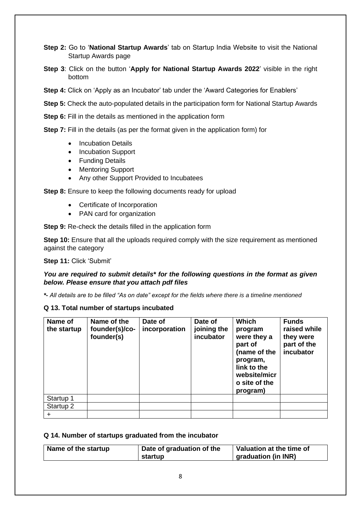**Step 2:** Go to '**National Startup Awards**' tab on Startup India Website to visit the National Startup Awards page

**Step 3**: Click on the button '**Apply for National Startup Awards 2022**' visible in the right bottom

**Step 4:** Click on 'Apply as an Incubator' tab under the 'Award Categories for Enablers'

**Step 5:** Check the auto-populated details in the participation form for National Startup Awards

**Step 6:** Fill in the details as mentioned in the application form

**Step 7:** Fill in the details (as per the format given in the application form) for

- Incubation Details
- Incubation Support
- Funding Details
- Mentoring Support
- Any other Support Provided to Incubatees

**Step 8:** Ensure to keep the following documents ready for upload

- Certificate of Incorporation
- PAN card for organization

**Step 9:** Re-check the details filled in the application form

**Step 10:** Ensure that all the uploads required comply with the size requirement as mentioned against the category

**Step 11:** Click 'Submit'

# *You are required to submit details\* for the following questions in the format as given below. Please ensure that you attach pdf files*

*\*- All details are to be filled "As on date" except for the fields where there is a timeline mentioned*

#### **Q 13. Total number of startups incubated**

| Name of<br>the startup | Name of the<br>founder(s)/co-<br>founder(s) | Date of<br>incorporation | Date of<br>joining the<br>incubator | <b>Which</b><br>program<br>were they a<br>part of<br>(name of the<br>program,<br>link to the<br>website/micr<br>o site of the<br>program) | <b>Funds</b><br>raised while<br>they were<br>part of the<br>incubator |
|------------------------|---------------------------------------------|--------------------------|-------------------------------------|-------------------------------------------------------------------------------------------------------------------------------------------|-----------------------------------------------------------------------|
| Startup 1              |                                             |                          |                                     |                                                                                                                                           |                                                                       |
| Startup 2              |                                             |                          |                                     |                                                                                                                                           |                                                                       |
| ÷                      |                                             |                          |                                     |                                                                                                                                           |                                                                       |

#### **Q 14. Number of startups graduated from the incubator**

| Name of the startup | Date of graduation of the | Valuation at the time of |  |
|---------------------|---------------------------|--------------------------|--|
|                     | startup                   | graduation (in INR)      |  |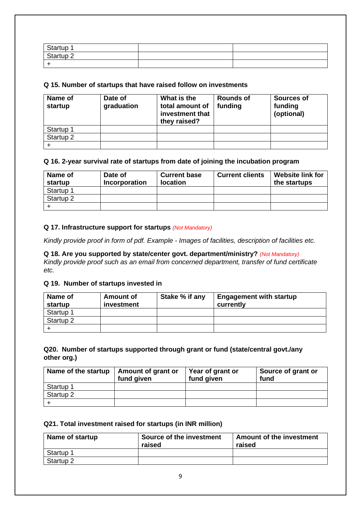| Startup   |  |
|-----------|--|
| Startup 2 |  |
|           |  |

# **Q 15. Number of startups that have raised follow on investments**

| Name of<br>startup   | Date of<br>graduation | What is the<br>total amount of<br>investment that<br>they raised? | <b>Rounds of</b><br>funding | <b>Sources of</b><br>funding<br>(optional) |
|----------------------|-----------------------|-------------------------------------------------------------------|-----------------------------|--------------------------------------------|
| Startup 1            |                       |                                                                   |                             |                                            |
| Startup <sub>2</sub> |                       |                                                                   |                             |                                            |
|                      |                       |                                                                   |                             |                                            |

# **Q 16. 2-year survival rate of startups from date of joining the incubation program**

| Name of<br>startup   | Date of<br>Incorporation | <b>Current base</b><br><b>location</b> | <b>Current clients</b> | <b>Website link for</b><br>the startups |
|----------------------|--------------------------|----------------------------------------|------------------------|-----------------------------------------|
| Startup 1            |                          |                                        |                        |                                         |
| Startup <sub>2</sub> |                          |                                        |                        |                                         |
|                      |                          |                                        |                        |                                         |

# **Q 17. Infrastructure support for startups** *(Not Mandatory)*

*Kindly provide proof in form of pdf. Example - Images of facilities, description of facilities etc.*

**Q 18. Are you supported by state/center govt. department/ministry?** *(Not Mandatory) Kindly provide proof such as an email from concerned department, transfer of fund certificate etc.*

# **Q 19. Number of startups invested in**

| Name of<br>startup | <b>Amount of</b><br>investment | Stake % if any | <b>Engagement with startup</b><br>currently |
|--------------------|--------------------------------|----------------|---------------------------------------------|
| Startup 1          |                                |                |                                             |
| Startup 2          |                                |                |                                             |
|                    |                                |                |                                             |

# **Q20. Number of startups supported through grant or fund (state/central govt./any other org.)**

| Name of the startup  | Amount of grant or<br>fund given | Year of grant or<br>fund given | Source of grant or<br>fund |
|----------------------|----------------------------------|--------------------------------|----------------------------|
| Startup 1            |                                  |                                |                            |
| Startup <sub>2</sub> |                                  |                                |                            |
|                      |                                  |                                |                            |

# **Q21. Total investment raised for startups (in INR million)**

| Name of startup      | Source of the investment<br>raised | <b>Amount of the investment</b><br>raised |
|----------------------|------------------------------------|-------------------------------------------|
| Startup <sup>-</sup> |                                    |                                           |
| Startup <sub>2</sub> |                                    |                                           |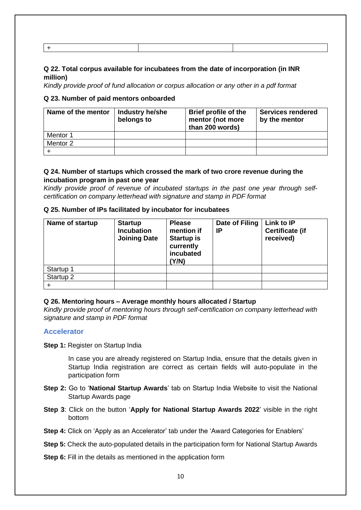# **Q 22. Total corpus available for incubatees from the date of incorporation (in INR million)**

*Kindly provide proof of fund allocation or corpus allocation or any other in a pdf format*

# **Q 23. Number of paid mentors onboarded**

| Name of the mentor | Industry he/she<br>belongs to | <b>Brief profile of the</b><br>mentor (not more<br>than 200 words) | <b>Services rendered</b><br>by the mentor |
|--------------------|-------------------------------|--------------------------------------------------------------------|-------------------------------------------|
| Mentor 1           |                               |                                                                    |                                           |
| Mentor 2           |                               |                                                                    |                                           |
|                    |                               |                                                                    |                                           |

# **Q 24. Number of startups which crossed the mark of two crore revenue during the incubation program in past one year**

*Kindly provide proof of revenue of incubated startups in the past one year through selfcertification on company letterhead with signature and stamp in PDF format*

| Q 25. Number of IPs facilitated by incubator for incubatees |
|-------------------------------------------------------------|
|-------------------------------------------------------------|

| Name of startup      | <b>Startup</b><br><b>Incubation</b><br><b>Joining Date</b> | <b>Please</b><br>mention if<br><b>Startup is</b><br>currently<br>incubated<br>(Y/N) | Date of Filing<br>IP | Link to IP<br><b>Certificate (if</b><br>received) |
|----------------------|------------------------------------------------------------|-------------------------------------------------------------------------------------|----------------------|---------------------------------------------------|
| Startup 1            |                                                            |                                                                                     |                      |                                                   |
| Startup <sub>2</sub> |                                                            |                                                                                     |                      |                                                   |
|                      |                                                            |                                                                                     |                      |                                                   |

# **Q 26. Mentoring hours – Average monthly hours allocated / Startup**

*Kindly provide proof of mentoring hours through self-certification on company letterhead with signature and stamp in PDF format*

# <span id="page-10-0"></span>**Accelerator**

**Step 1: Register on Startup India** 

In case you are already registered on Startup India, ensure that the details given in Startup India registration are correct as certain fields will auto-populate in the participation form

- **Step 2:** Go to '**National Startup Awards**' tab on Startup India Website to visit the National Startup Awards page
- **Step 3**: Click on the button '**Apply for National Startup Awards 2022**' visible in the right bottom

**Step 4:** Click on 'Apply as an Accelerator' tab under the 'Award Categories for Enablers'

**Step 5:** Check the auto-populated details in the participation form for National Startup Awards

**Step 6:** Fill in the details as mentioned in the application form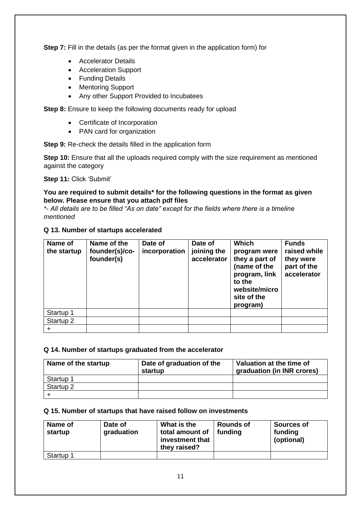**Step 7:** Fill in the details (as per the format given in the application form) for

- Accelerator Details
- Acceleration Support
- Funding Details
- Mentoring Support
- Any other Support Provided to Incubatees

**Step 8:** Ensure to keep the following documents ready for upload

- Certificate of Incorporation
- PAN card for organization

**Step 9:** Re-check the details filled in the application form

**Step 10:** Ensure that all the uploads required comply with the size requirement as mentioned against the category

**Step 11:** Click 'Submit'

# **You are required to submit details\* for the following questions in the format as given below. Please ensure that you attach pdf files**

*\*- All details are to be filled "As on date" except for the fields where there is a timeline mentioned*

# **Q 13. Number of startups accelerated**

| Name of<br>the startup | Name of the<br>founder(s)/co-<br>founder(s) | Date of<br>incorporation | Date of<br>joining the<br>accelerator | <b>Which</b><br>program were<br>they a part of<br>(name of the<br>program, link<br>to the<br>website/micro<br>site of the<br>program) | <b>Funds</b><br>raised while<br>they were<br>part of the<br>accelerator |
|------------------------|---------------------------------------------|--------------------------|---------------------------------------|---------------------------------------------------------------------------------------------------------------------------------------|-------------------------------------------------------------------------|
| Startup 1              |                                             |                          |                                       |                                                                                                                                       |                                                                         |
| Startup 2              |                                             |                          |                                       |                                                                                                                                       |                                                                         |
|                        |                                             |                          |                                       |                                                                                                                                       |                                                                         |

# **Q 14. Number of startups graduated from the accelerator**

| Name of the startup  | Date of graduation of the<br>startup | Valuation at the time of<br>graduation (in INR crores) |
|----------------------|--------------------------------------|--------------------------------------------------------|
| Startup 1            |                                      |                                                        |
| Startup <sub>2</sub> |                                      |                                                        |
|                      |                                      |                                                        |

# **Q 15. Number of startups that have raised follow on investments**

| Name of<br>startup | Date of<br>graduation | What is the<br>total amount of<br>investment that<br>they raised? | <b>Rounds of</b><br>funding | <b>Sources of</b><br>funding<br>(optional) |
|--------------------|-----------------------|-------------------------------------------------------------------|-----------------------------|--------------------------------------------|
| Startup 1          |                       |                                                                   |                             |                                            |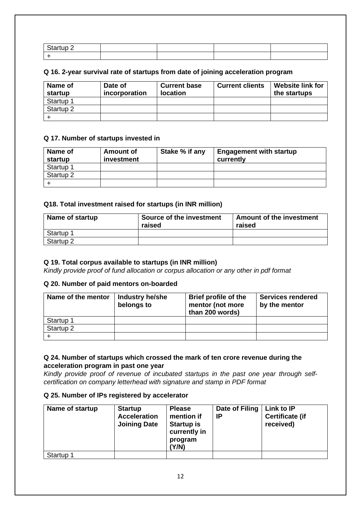# **Q 16. 2-year survival rate of startups from date of joining acceleration program**

| Name of<br>startup   | Date of<br>incorporation | <b>Current base</b><br><b>location</b> | <b>Current clients</b> | <b>Website link for</b><br>the startups |
|----------------------|--------------------------|----------------------------------------|------------------------|-----------------------------------------|
| Startup 1            |                          |                                        |                        |                                         |
| Startup <sub>2</sub> |                          |                                        |                        |                                         |
|                      |                          |                                        |                        |                                         |

# **Q 17. Number of startups invested in**

| Name of<br>startup | <b>Amount of</b><br>investment | Stake % if any | <b>Engagement with startup</b><br>currently |
|--------------------|--------------------------------|----------------|---------------------------------------------|
| Startup 1          |                                |                |                                             |
| Startup 2          |                                |                |                                             |
|                    |                                |                |                                             |

# **Q18. Total investment raised for startups (in INR million)**

| Name of startup      | Source of the investment<br>raised | <b>Amount of the investment</b><br>raised |
|----------------------|------------------------------------|-------------------------------------------|
| Startup 1            |                                    |                                           |
| Startup <sub>2</sub> |                                    |                                           |

# **Q 19. Total corpus available to startups (in INR million)**

*Kindly provide proof of fund allocation or corpus allocation or any other in pdf format*

# **Q 20. Number of paid mentors on-boarded**

| Name of the mentor | Industry he/she<br>belongs to | <b>Brief profile of the</b><br>mentor (not more<br>than 200 words) | <b>Services rendered</b><br>by the mentor |
|--------------------|-------------------------------|--------------------------------------------------------------------|-------------------------------------------|
| Startup 1          |                               |                                                                    |                                           |
| Startup 2          |                               |                                                                    |                                           |
|                    |                               |                                                                    |                                           |

# **Q 24. Number of startups which crossed the mark of ten crore revenue during the acceleration program in past one year**

*Kindly provide proof of revenue of incubated startups in the past one year through selfcertification on company letterhead with signature and stamp in PDF format*

# **Q 25. Number of IPs registered by accelerator**

| Name of startup | <b>Startup</b><br><b>Acceleration</b><br><b>Joining Date</b> | <b>Please</b><br>mention if<br><b>Startup is</b><br>currently in<br>program<br>(Y/N) | Date of Filing<br>IP | Link to IP<br><b>Certificate (if</b><br>received) |
|-----------------|--------------------------------------------------------------|--------------------------------------------------------------------------------------|----------------------|---------------------------------------------------|
| Startup 1       |                                                              |                                                                                      |                      |                                                   |